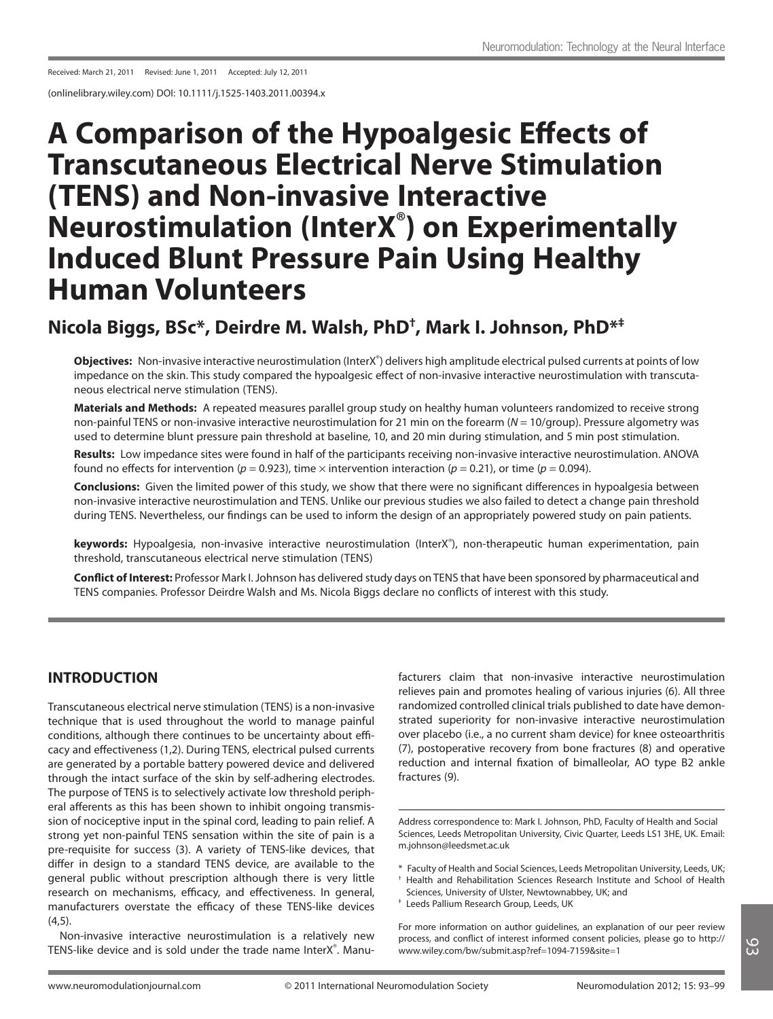Received: March 21, 2011 Revised: June 1, 2011 Accepted: July 12, 2011

(onlinelibrary.wiley.com) DOI: 10.1111/j.1525-1403.2011.00394.x

# **A Comparison of the Hypoalgesic Effects of Transcutaneous Electrical Nerve Stimulation (TENS) and Non-invasive Interactive Neurostimulation (InterX® ) on Experimentally Induced Blunt Pressure Pain Using Healthy Human Volunteers**

# **Nicola Biggs, BSc\*, Deirdre M. Walsh, PhD† , Mark I. Johnson, PhD\*‡**

Objectives: Non-invasive interactive neurostimulation (InterX<sup>®</sup>) delivers high amplitude electrical pulsed currents at points of low impedance on the skin. This study compared the hypoalgesic effect of non-invasive interactive neurostimulation with transcutaneous electrical nerve stimulation (TENS).

**Materials and Methods:** A repeated measures parallel group study on healthy human volunteers randomized to receive strong non-painful TENS or non-invasive interactive neurostimulation for 21 min on the forearm ( $N = 10$ /group). Pressure algometry was used to determine blunt pressure pain threshold at baseline, 10, and 20 min during stimulation, and 5 min post stimulation.

**Results:** Low impedance sites were found in half of the participants receiving non-invasive interactive neurostimulation. ANOVA found no effects for intervention ( $p = 0.923$ ), time  $\times$  intervention interaction ( $p = 0.21$ ), or time ( $p = 0.094$ ).

**Conclusions:** Given the limited power of this study, we show that there were no significant differences in hypoalgesia between non-invasive interactive neurostimulation and TENS. Unlike our previous studies we also failed to detect a change pain threshold during TENS. Nevertheless, our findings can be used to inform the design of an appropriately powered study on pain patients.

keywords: Hypoalgesia, non-invasive interactive neurostimulation (InterX®), non-therapeutic human experimentation, pain threshold, transcutaneous electrical nerve stimulation (TENS)

**Conflict of Interest:** Professor Mark I. Johnson has delivered study days on TENS that have been sponsored by pharmaceutical and TENS companies. Professor Deirdre Walsh and Ms. Nicola Biggs declare no conflicts of interest with this study.

# **INTRODUCTION**

Transcutaneous electrical nerve stimulation (TENS) is a non-invasive technique that is used throughout the world to manage painful conditions, although there continues to be uncertainty about efficacy and effectiveness (1,2). During TENS, electrical pulsed currents are generated by a portable battery powered device and delivered through the intact surface of the skin by self-adhering electrodes. The purpose of TENS is to selectively activate low threshold peripheral afferents as this has been shown to inhibit ongoing transmission of nociceptive input in the spinal cord, leading to pain relief. A strong yet non-painful TENS sensation within the site of pain is a pre-requisite for success (3). A variety of TENS-like devices, that differ in design to a standard TENS device, are available to the general public without prescription although there is very little research on mechanisms, efficacy, and effectiveness. In general, manufacturers overstate the efficacy of these TENS-like devices  $(4,5)$ .

Non-invasive interactive neurostimulation is a relatively new TENS-like device and is sold under the trade name InterX® . Manufacturers claim that non-invasive interactive neurostimulation relieves pain and promotes healing of various injuries (6). All three randomized controlled clinical trials published to date have demonstrated superiority for non-invasive interactive neurostimulation over placebo (i.e., a no current sham device) for knee osteoarthritis (7), postoperative recovery from bone fractures (8) and operative reduction and internal fixation of bimalleolar, AO type B2 ankle fractures (9).

- † Health and Rehabilitation Sciences Research Institute and School of Health Sciences, University of Ulster, Newtownabbey, UK; and
- ‡ Leeds Pallium Research Group, Leeds, UK

For more information on author guidelines, an explanation of our peer review process, and conflict of interest informed consent policies, please go to http:// www.wiley.com/bw/submit.asp?ref=1094-7159&site=1

Address correspondence to: Mark I. Johnson, PhD, Faculty of Health and Social Sciences, Leeds Metropolitan University, Civic Quarter, Leeds LS1 3HE, UK. Email: m.johnson@leedsmet.ac.uk

<sup>\*</sup> Faculty of Health and Social Sciences, Leeds Metropolitan University, Leeds, UK;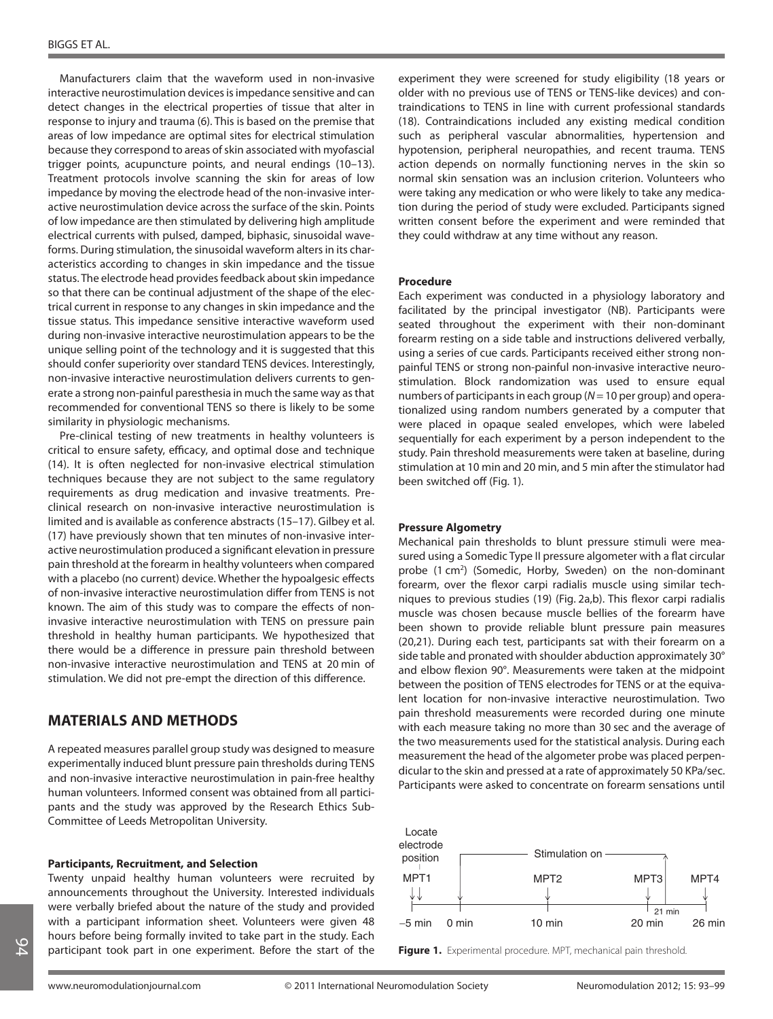Manufacturers claim that the waveform used in non-invasive interactive neurostimulation devices is impedance sensitive and can detect changes in the electrical properties of tissue that alter in response to injury and trauma (6). This is based on the premise that areas of low impedance are optimal sites for electrical stimulation because they correspond to areas of skin associated with myofascial trigger points, acupuncture points, and neural endings (10–13). Treatment protocols involve scanning the skin for areas of low impedance by moving the electrode head of the non-invasive interactive neurostimulation device across the surface of the skin. Points of low impedance are then stimulated by delivering high amplitude electrical currents with pulsed, damped, biphasic, sinusoidal waveforms. During stimulation, the sinusoidal waveform alters in its characteristics according to changes in skin impedance and the tissue status. The electrode head provides feedback about skin impedance so that there can be continual adjustment of the shape of the electrical current in response to any changes in skin impedance and the tissue status. This impedance sensitive interactive waveform used during non-invasive interactive neurostimulation appears to be the unique selling point of the technology and it is suggested that this should confer superiority over standard TENS devices. Interestingly, non-invasive interactive neurostimulation delivers currents to generate a strong non-painful paresthesia in much the same way as that recommended for conventional TENS so there is likely to be some similarity in physiologic mechanisms.

Pre-clinical testing of new treatments in healthy volunteers is critical to ensure safety, efficacy, and optimal dose and technique (14). It is often neglected for non-invasive electrical stimulation techniques because they are not subject to the same regulatory requirements as drug medication and invasive treatments. Preclinical research on non-invasive interactive neurostimulation is limited and is available as conference abstracts (15–17). Gilbey et al. (17) have previously shown that ten minutes of non-invasive interactive neurostimulation produced a significant elevation in pressure pain threshold at the forearm in healthy volunteers when compared with a placebo (no current) device. Whether the hypoalgesic effects of non-invasive interactive neurostimulation differ from TENS is not known. The aim of this study was to compare the effects of noninvasive interactive neurostimulation with TENS on pressure pain threshold in healthy human participants. We hypothesized that there would be a difference in pressure pain threshold between non-invasive interactive neurostimulation and TENS at 20 min of stimulation. We did not pre-empt the direction of this difference.

# **MATERIALS AND METHODS**

A repeated measures parallel group study was designed to measure experimentally induced blunt pressure pain thresholds during TENS and non-invasive interactive neurostimulation in pain-free healthy human volunteers. Informed consent was obtained from all participants and the study was approved by the Research Ethics Sub-Committee of Leeds Metropolitan University.

#### **Participants, Recruitment, and Selection**

Twenty unpaid healthy human volunteers were recruited by announcements throughout the University. Interested individuals were verbally briefed about the nature of the study and provided with a participant information sheet. Volunteers were given 48 hours before being formally invited to take part in the study. Each participant took part in one experiment. Before the start of the

experiment they were screened for study eligibility (18 years or older with no previous use of TENS or TENS-like devices) and contraindications to TENS in line with current professional standards (18). Contraindications included any existing medical condition such as peripheral vascular abnormalities, hypertension and hypotension, peripheral neuropathies, and recent trauma. TENS action depends on normally functioning nerves in the skin so normal skin sensation was an inclusion criterion. Volunteers who were taking any medication or who were likely to take any medication during the period of study were excluded. Participants signed written consent before the experiment and were reminded that they could withdraw at any time without any reason.

#### **Procedure**

Each experiment was conducted in a physiology laboratory and facilitated by the principal investigator (NB). Participants were seated throughout the experiment with their non-dominant forearm resting on a side table and instructions delivered verbally, using a series of cue cards. Participants received either strong nonpainful TENS or strong non-painful non-invasive interactive neurostimulation. Block randomization was used to ensure equal numbers of participants in each group ( $N = 10$  per group) and operationalized using random numbers generated by a computer that were placed in opaque sealed envelopes, which were labeled sequentially for each experiment by a person independent to the study. Pain threshold measurements were taken at baseline, during stimulation at 10 min and 20 min, and 5 min after the stimulator had been switched off (Fig. 1).

#### **Pressure Algometry**

Mechanical pain thresholds to blunt pressure stimuli were measured using a Somedic Type II pressure algometer with a flat circular probe (1 cm<sup>2</sup>) (Somedic, Horby, Sweden) on the non-dominant forearm, over the flexor carpi radialis muscle using similar techniques to previous studies (19) (Fig. 2a,b). This flexor carpi radialis muscle was chosen because muscle bellies of the forearm have been shown to provide reliable blunt pressure pain measures (20,21). During each test, participants sat with their forearm on a side table and pronated with shoulder abduction approximately 30° and elbow flexion 90°. Measurements were taken at the midpoint between the position of TENS electrodes for TENS or at the equivalent location for non-invasive interactive neurostimulation. Two pain threshold measurements were recorded during one minute with each measure taking no more than 30 sec and the average of the two measurements used for the statistical analysis. During each measurement the head of the algometer probe was placed perpendicular to the skin and pressed at a rate of approximately 50 KPa/sec. Participants were asked to concentrate on forearm sensations until



**Figure 1.** Experimental procedure. MPT, mechanical pain threshold.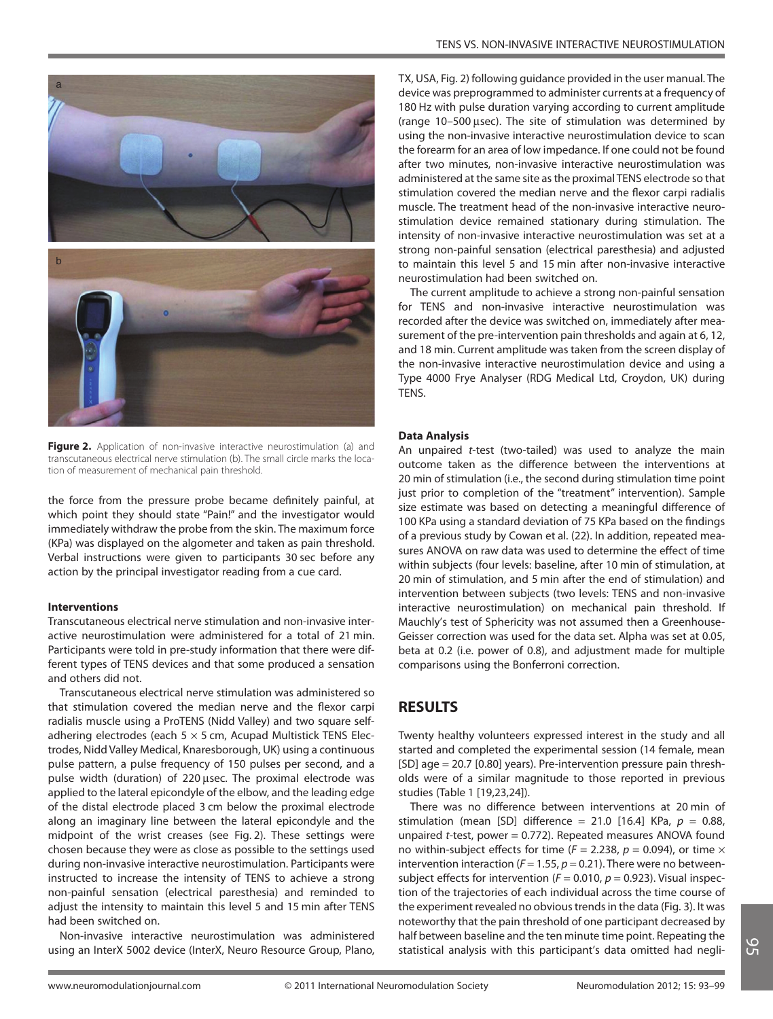

**Figure 2.** Application of non-invasive interactive neurostimulation (a) and transcutaneous electrical nerve stimulation (b). The small circle marks the location of measurement of mechanical pain threshold.

the force from the pressure probe became definitely painful, at which point they should state "Pain!" and the investigator would immediately withdraw the probe from the skin. The maximum force (KPa) was displayed on the algometer and taken as pain threshold. Verbal instructions were given to participants 30 sec before any action by the principal investigator reading from a cue card.

#### **Interventions**

Transcutaneous electrical nerve stimulation and non-invasive interactive neurostimulation were administered for a total of 21 min. Participants were told in pre-study information that there were different types of TENS devices and that some produced a sensation and others did not.

Transcutaneous electrical nerve stimulation was administered so that stimulation covered the median nerve and the flexor carpi radialis muscle using a ProTENS (Nidd Valley) and two square selfadhering electrodes (each  $5 \times 5$  cm, Acupad Multistick TENS Electrodes, Nidd Valley Medical, Knaresborough, UK) using a continuous pulse pattern, a pulse frequency of 150 pulses per second, and a pulse width (duration) of 220 usec. The proximal electrode was applied to the lateral epicondyle of the elbow, and the leading edge of the distal electrode placed 3 cm below the proximal electrode along an imaginary line between the lateral epicondyle and the midpoint of the wrist creases (see Fig. 2). These settings were chosen because they were as close as possible to the settings used during non-invasive interactive neurostimulation. Participants were instructed to increase the intensity of TENS to achieve a strong non-painful sensation (electrical paresthesia) and reminded to adjust the intensity to maintain this level 5 and 15 min after TENS had been switched on.

Non-invasive interactive neurostimulation was administered using an InterX 5002 device (InterX, Neuro Resource Group, Plano,

TX, USA, Fig. 2) following guidance provided in the user manual. The device was preprogrammed to administer currents at a frequency of 180 Hz with pulse duration varying according to current amplitude (range  $10-500$   $\mu$ sec). The site of stimulation was determined by using the non-invasive interactive neurostimulation device to scan the forearm for an area of low impedance. If one could not be found after two minutes, non-invasive interactive neurostimulation was administered at the same site as the proximal TENS electrode so that stimulation covered the median nerve and the flexor carpi radialis muscle. The treatment head of the non-invasive interactive neurostimulation device remained stationary during stimulation. The intensity of non-invasive interactive neurostimulation was set at a strong non-painful sensation (electrical paresthesia) and adjusted to maintain this level 5 and 15 min after non-invasive interactive neurostimulation had been switched on.

The current amplitude to achieve a strong non-painful sensation for TENS and non-invasive interactive neurostimulation was recorded after the device was switched on, immediately after measurement of the pre-intervention pain thresholds and again at 6, 12, and 18 min. Current amplitude was taken from the screen display of the non-invasive interactive neurostimulation device and using a Type 4000 Frye Analyser (RDG Medical Ltd, Croydon, UK) during **TENS** 

#### **Data Analysis**

An unpaired t-test (two-tailed) was used to analyze the main outcome taken as the difference between the interventions at 20 min of stimulation (i.e., the second during stimulation time point just prior to completion of the "treatment" intervention). Sample size estimate was based on detecting a meaningful difference of 100 KPa using a standard deviation of 75 KPa based on the findings of a previous study by Cowan et al. (22). In addition, repeated measures ANOVA on raw data was used to determine the effect of time within subjects (four levels: baseline, after 10 min of stimulation, at 20 min of stimulation, and 5 min after the end of stimulation) and intervention between subjects (two levels: TENS and non-invasive interactive neurostimulation) on mechanical pain threshold. If Mauchly's test of Sphericity was not assumed then a Greenhouse-Geisser correction was used for the data set. Alpha was set at 0.05, beta at 0.2 (i.e. power of 0.8), and adjustment made for multiple comparisons using the Bonferroni correction.

### **RESULTS**

Twenty healthy volunteers expressed interest in the study and all started and completed the experimental session (14 female, mean [SD] age = 20.7 [0.80] years). Pre-intervention pressure pain thresholds were of a similar magnitude to those reported in previous studies (Table 1 [19,23,24]).

There was no difference between interventions at 20 min of stimulation (mean [SD] difference = 21.0 [16.4] KPa,  $p = 0.88$ , unpaired  $t$ -test, power = 0.772). Repeated measures ANOVA found no within-subject effects for time ( $F = 2.238$ ,  $p = 0.094$ ), or time  $\times$ intervention interaction ( $F = 1.55$ ,  $p = 0.21$ ). There were no betweensubject effects for intervention ( $F = 0.010$ ,  $p = 0.923$ ). Visual inspection of the trajectories of each individual across the time course of the experiment revealed no obvious trends in the data (Fig. 3). It was noteworthy that the pain threshold of one participant decreased by half between baseline and the ten minute time point. Repeating the statistical analysis with this participant's data omitted had negli-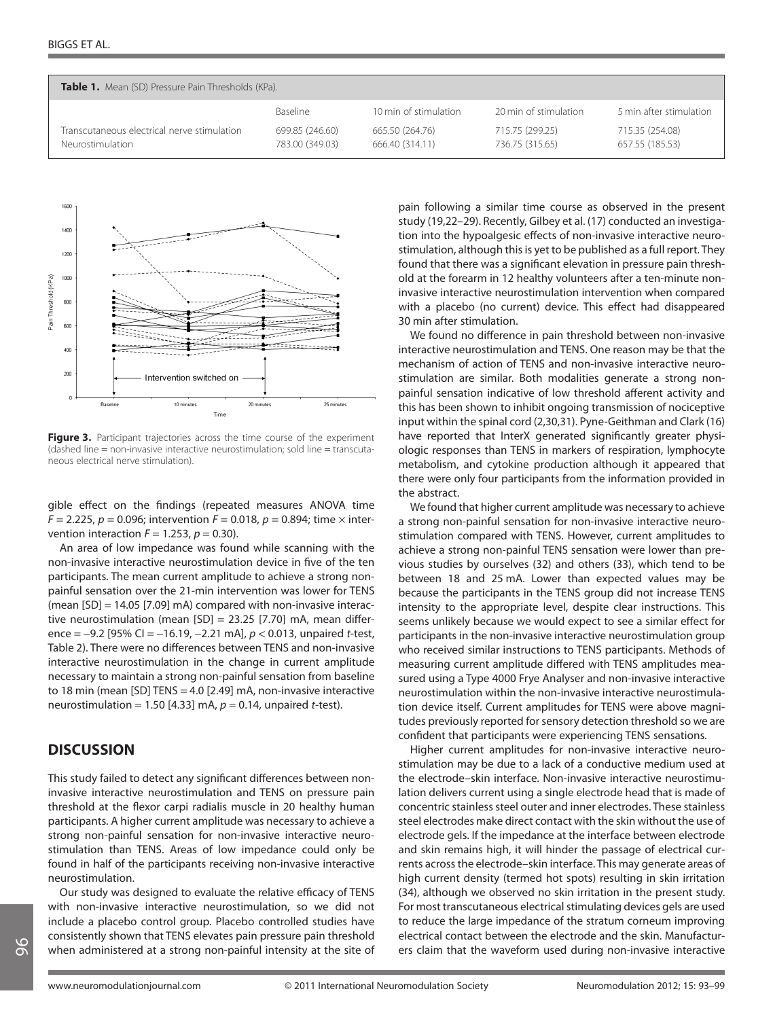| <b>Table 1.</b> Mean (SD) Pressure Pain Thresholds (KPa).       |                                    |                                    |                                    |                                    |  |  |  |  |  |
|-----------------------------------------------------------------|------------------------------------|------------------------------------|------------------------------------|------------------------------------|--|--|--|--|--|
|                                                                 | Baseline                           | 10 min of stimulation              | 20 min of stimulation              | 5 min after stimulation            |  |  |  |  |  |
| Transcutaneous electrical nerve stimulation<br>Neurostimulation | 699.85 (246.60)<br>783.00 (349.03) | 665.50 (264.76)<br>666.40 (314.11) | 715.75 (299.25)<br>736.75 (315.65) | 715.35 (254.08)<br>657.55 (185.53) |  |  |  |  |  |



Figure 3. Participant trajectories across the time course of the experiment (dashed line = non-invasive interactive neurostimulation; sold line = transcutaneous electrical nerve stimulation).

gible effect on the findings (repeated measures ANOVA time  $F = 2.225$ ,  $p = 0.096$ ; intervention  $F = 0.018$ ,  $p = 0.894$ ; time  $\times$  intervention interaction  $F = 1.253$ ,  $p = 0.30$ ).

An area of low impedance was found while scanning with the non-invasive interactive neurostimulation device in five of the ten participants. The mean current amplitude to achieve a strong nonpainful sensation over the 21-min intervention was lower for TENS (mean [SD] = 14.05 [7.09] mA) compared with non-invasive interactive neurostimulation (mean [SD] = 23.25 [7.70] mA, mean difference =  $-9.2$  [95% CI =  $-16.19$ ,  $-2.21$  mA],  $p < 0.013$ , unpaired t-test, Table 2). There were no differences between TENS and non-invasive interactive neurostimulation in the change in current amplitude necessary to maintain a strong non-painful sensation from baseline to 18 min (mean [SD] TENS = 4.0 [2.49] mA, non-invasive interactive neurostimulation = 1.50 [4.33] mA,  $p = 0.14$ , unpaired t-test).

# **DISCUSSION**

This study failed to detect any significant differences between noninvasive interactive neurostimulation and TENS on pressure pain threshold at the flexor carpi radialis muscle in 20 healthy human participants. A higher current amplitude was necessary to achieve a strong non-painful sensation for non-invasive interactive neurostimulation than TENS. Areas of low impedance could only be found in half of the participants receiving non-invasive interactive neurostimulation.

Our study was designed to evaluate the relative efficacy of TENS with non-invasive interactive neurostimulation, so we did not include a placebo control group. Placebo controlled studies have consistently shown that TENS elevates pain pressure pain threshold when administered at a strong non-painful intensity at the site of pain following a similar time course as observed in the present study (19,22–29). Recently, Gilbey et al. (17) conducted an investigation into the hypoalgesic effects of non-invasive interactive neurostimulation, although this is yet to be published as a full report. They found that there was a significant elevation in pressure pain threshold at the forearm in 12 healthy volunteers after a ten-minute noninvasive interactive neurostimulation intervention when compared with a placebo (no current) device. This effect had disappeared 30 min after stimulation.

We found no difference in pain threshold between non-invasive interactive neurostimulation and TENS. One reason may be that the mechanism of action of TENS and non-invasive interactive neurostimulation are similar. Both modalities generate a strong nonpainful sensation indicative of low threshold afferent activity and this has been shown to inhibit ongoing transmission of nociceptive input within the spinal cord (2,30,31). Pyne-Geithman and Clark (16) have reported that InterX generated significantly greater physiologic responses than TENS in markers of respiration, lymphocyte metabolism, and cytokine production although it appeared that there were only four participants from the information provided in the abstract.

We found that higher current amplitude was necessary to achieve a strong non-painful sensation for non-invasive interactive neurostimulation compared with TENS. However, current amplitudes to achieve a strong non-painful TENS sensation were lower than previous studies by ourselves (32) and others (33), which tend to be between 18 and 25 mA. Lower than expected values may be because the participants in the TENS group did not increase TENS intensity to the appropriate level, despite clear instructions. This seems unlikely because we would expect to see a similar effect for participants in the non-invasive interactive neurostimulation group who received similar instructions to TENS participants. Methods of measuring current amplitude differed with TENS amplitudes measured using a Type 4000 Frye Analyser and non-invasive interactive neurostimulation within the non-invasive interactive neurostimulation device itself. Current amplitudes for TENS were above magnitudes previously reported for sensory detection threshold so we are confident that participants were experiencing TENS sensations.

Higher current amplitudes for non-invasive interactive neurostimulation may be due to a lack of a conductive medium used at the electrode–skin interface. Non-invasive interactive neurostimulation delivers current using a single electrode head that is made of concentric stainless steel outer and inner electrodes. These stainless steel electrodes make direct contact with the skin without the use of electrode gels. If the impedance at the interface between electrode and skin remains high, it will hinder the passage of electrical currents across the electrode–skin interface. This may generate areas of high current density (termed hot spots) resulting in skin irritation (34), although we observed no skin irritation in the present study. For most transcutaneous electrical stimulating devices gels are used to reduce the large impedance of the stratum corneum improving electrical contact between the electrode and the skin. Manufacturers claim that the waveform used during non-invasive interactive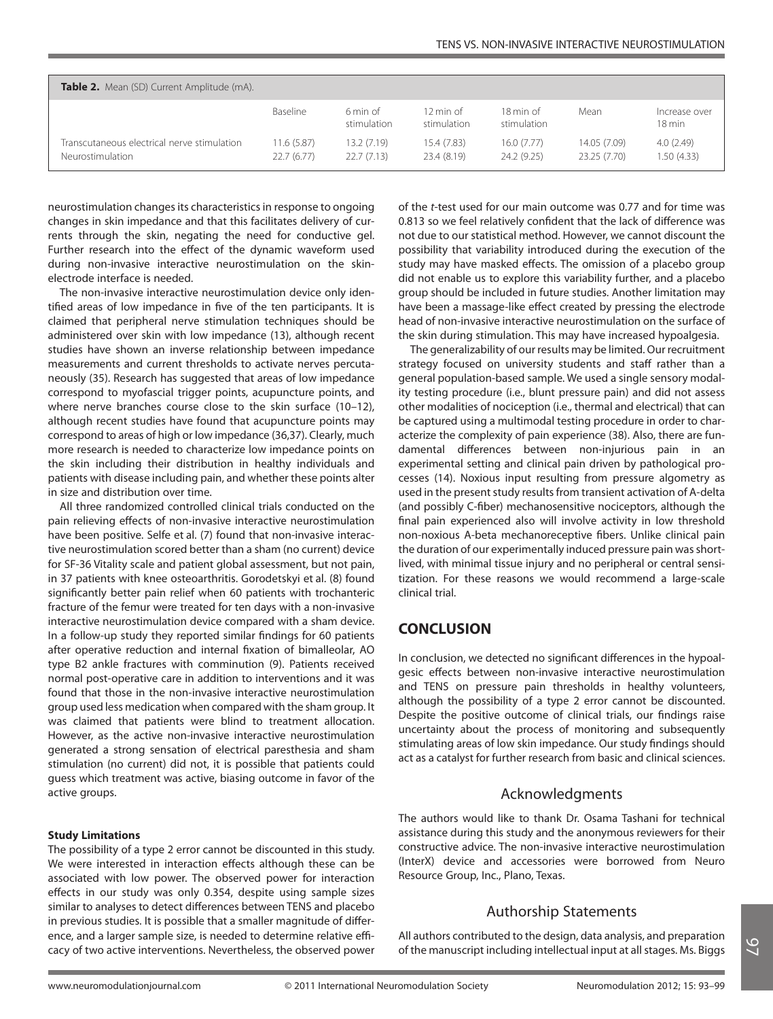| Table 2. Mean (SD) Current Amplitude (mA).                      |                          |                          |                                     |                           |                              |                                   |  |  |  |
|-----------------------------------------------------------------|--------------------------|--------------------------|-------------------------------------|---------------------------|------------------------------|-----------------------------------|--|--|--|
|                                                                 | Baseline                 | 6 min of<br>stimulation  | $12 \text{ min of }$<br>stimulation | 18 min of<br>stimulation  | Mean                         | Increase over<br>$18 \text{ min}$ |  |  |  |
| Transcutaneous electrical nerve stimulation<br>Neurostimulation | 11.6(5.87)<br>22.7(6.77) | 13.2(7.19)<br>22.7(7.13) | 15.4 (7.83)<br>23.4 (8.19)          | 16.0 (7.77)<br>24.2(9.25) | 14.05 (7.09)<br>23.25 (7.70) | 4.0(2.49)<br>1.50(4.33)           |  |  |  |

neurostimulation changes its characteristics in response to ongoing changes in skin impedance and that this facilitates delivery of currents through the skin, negating the need for conductive gel. Further research into the effect of the dynamic waveform used during non-invasive interactive neurostimulation on the skinelectrode interface is needed.

The non-invasive interactive neurostimulation device only identified areas of low impedance in five of the ten participants. It is claimed that peripheral nerve stimulation techniques should be administered over skin with low impedance (13), although recent studies have shown an inverse relationship between impedance measurements and current thresholds to activate nerves percutaneously (35). Research has suggested that areas of low impedance correspond to myofascial trigger points, acupuncture points, and where nerve branches course close to the skin surface (10-12), although recent studies have found that acupuncture points may correspond to areas of high or low impedance (36,37). Clearly, much more research is needed to characterize low impedance points on the skin including their distribution in healthy individuals and patients with disease including pain, and whether these points alter in size and distribution over time.

All three randomized controlled clinical trials conducted on the pain relieving effects of non-invasive interactive neurostimulation have been positive. Selfe et al. (7) found that non-invasive interactive neurostimulation scored better than a sham (no current) device for SF-36 Vitality scale and patient global assessment, but not pain, in 37 patients with knee osteoarthritis. Gorodetskyi et al. (8) found significantly better pain relief when 60 patients with trochanteric fracture of the femur were treated for ten days with a non-invasive interactive neurostimulation device compared with a sham device. In a follow-up study they reported similar findings for 60 patients after operative reduction and internal fixation of bimalleolar, AO type B2 ankle fractures with comminution (9). Patients received normal post-operative care in addition to interventions and it was found that those in the non-invasive interactive neurostimulation group used less medication when compared with the sham group. It was claimed that patients were blind to treatment allocation. However, as the active non-invasive interactive neurostimulation generated a strong sensation of electrical paresthesia and sham stimulation (no current) did not, it is possible that patients could guess which treatment was active, biasing outcome in favor of the active groups.

#### **Study Limitations**

The possibility of a type 2 error cannot be discounted in this study. We were interested in interaction effects although these can be associated with low power. The observed power for interaction effects in our study was only 0.354, despite using sample sizes similar to analyses to detect differences between TENS and placebo in previous studies. It is possible that a smaller magnitude of difference, and a larger sample size, is needed to determine relative efficacy of two active interventions. Nevertheless, the observed power of the t-test used for our main outcome was 0.77 and for time was 0.813 so we feel relatively confident that the lack of difference was not due to our statistical method. However, we cannot discount the possibility that variability introduced during the execution of the study may have masked effects. The omission of a placebo group did not enable us to explore this variability further, and a placebo group should be included in future studies. Another limitation may have been a massage-like effect created by pressing the electrode head of non-invasive interactive neurostimulation on the surface of the skin during stimulation. This may have increased hypoalgesia.

The generalizability of our results may be limited. Our recruitment strategy focused on university students and staff rather than a general population-based sample. We used a single sensory modality testing procedure (i.e., blunt pressure pain) and did not assess other modalities of nociception (i.e., thermal and electrical) that can be captured using a multimodal testing procedure in order to characterize the complexity of pain experience (38). Also, there are fundamental differences between non-injurious pain in an experimental setting and clinical pain driven by pathological processes (14). Noxious input resulting from pressure algometry as used in the present study results from transient activation of A-delta (and possibly C-fiber) mechanosensitive nociceptors, although the final pain experienced also will involve activity in low threshold non-noxious A-beta mechanoreceptive fibers. Unlike clinical pain the duration of our experimentally induced pressure pain was shortlived, with minimal tissue injury and no peripheral or central sensitization. For these reasons we would recommend a large-scale clinical trial.

# **CONCLUSION**

In conclusion, we detected no significant differences in the hypoalgesic effects between non-invasive interactive neurostimulation and TENS on pressure pain thresholds in healthy volunteers, although the possibility of a type 2 error cannot be discounted. Despite the positive outcome of clinical trials, our findings raise uncertainty about the process of monitoring and subsequently stimulating areas of low skin impedance. Our study findings should act as a catalyst for further research from basic and clinical sciences.

#### Acknowledgments

The authors would like to thank Dr. Osama Tashani for technical assistance during this study and the anonymous reviewers for their constructive advice. The non-invasive interactive neurostimulation (InterX) device and accessories were borrowed from Neuro Resource Group, Inc., Plano, Texas.

### Authorship Statements

All authors contributed to the design, data analysis, and preparation of the manuscript including intellectual input at all stages. Ms. Biggs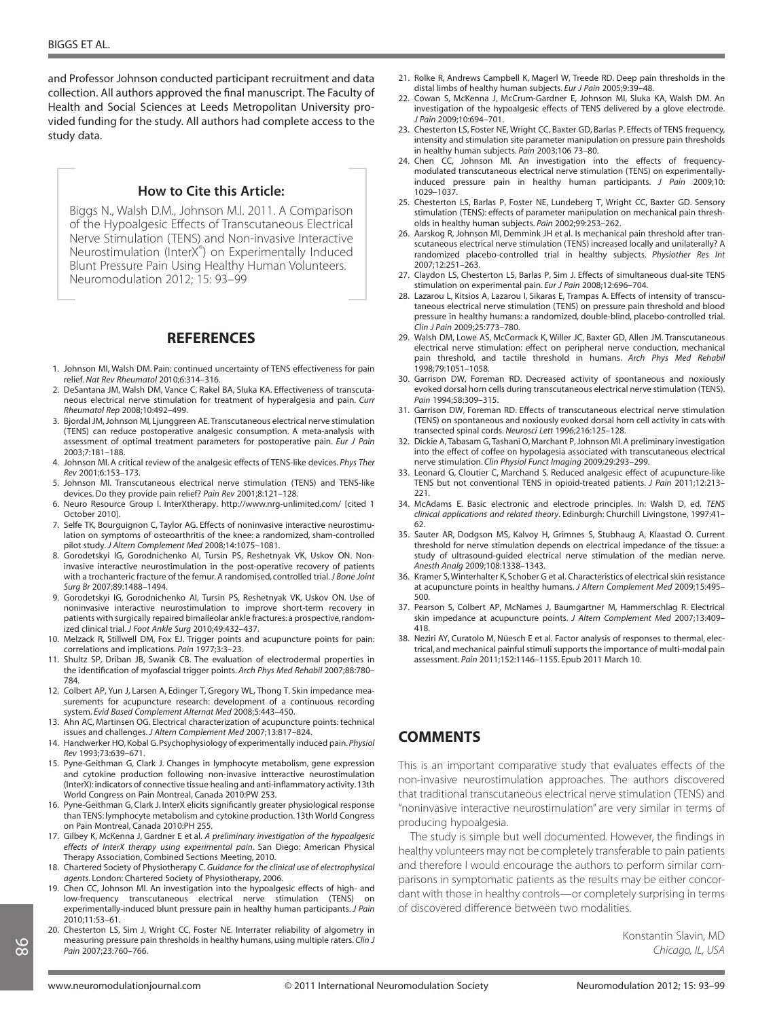and Professor Johnson conducted participant recruitment and data collection. All authors approved the final manuscript. The Faculty of Health and Social Sciences at Leeds Metropolitan University provided funding for the study. All authors had complete access to the study data.

#### **How to Cite this Article:**

Biggs N., Walsh D.M., Johnson M.I. 2011. A Comparison of the Hypoalgesic Effects of Transcutaneous Electrical Nerve Stimulation (TENS) and Non-invasive Interactive Neurostimulation (InterX® ) on Experimentally Induced Blunt Pressure Pain Using Healthy Human Volunteers. Neuromodulation 2012; 15: 93–99

## **REFERENCES**

- 1. Johnson MI, Walsh DM. Pain: continued uncertainty of TENS effectiveness for pain relief. *Nat Rev Rheumatol* 2010;6:314–316.
- 2. DeSantana JM, Walsh DM, Vance C, Rakel BA, Sluka KA. Effectiveness of transcutaneous electrical nerve stimulation for treatment of hyperalgesia and pain. *Curr Rheumatol Rep* 2008;10:492–499.
- 3. Bjordal JM, Johnson MI, Ljunggreen AE. Transcutaneous electrical nerve stimulation (TENS) can reduce postoperative analgesic consumption. A meta-analysis with assessment of optimal treatment parameters for postoperative pain. *Eur J Pain* 2003;7:181–188.
- 4. Johnson MI. A critical review of the analgesic effects of TENS-like devices. *Phys Ther Rev* 2001;6:153–173.
- 5. Johnson MI. Transcutaneous electrical nerve stimulation (TENS) and TENS-like devices. Do they provide pain relief? *Pain Rev* 2001;8:121–128.
- 6. Neuro Resource Group I. InterXtherapy. http://www.nrg-unlimited.com/ [cited 1 October 2010].
- 7. Selfe TK, Bourguignon C, Taylor AG. Effects of noninvasive interactive neurostimulation on symptoms of osteoarthritis of the knee: a randomized, sham-controlled pilot study.*J Altern Complement Med* 2008;14:1075–1081.
- 8. Gorodetskyi IG, Gorodnichenko AI, Tursin PS, Reshetnyak VK, Uskov ON. Noninvasive interactive neurostimulation in the post-operative recovery of patients with a trochanteric fracture of the femur. A randomised, controlled trial.*J Bone Joint Surg Br* 2007;89:1488–1494.
- 9. Gorodetskyi IG, Gorodnichenko AI, Tursin PS, Reshetnyak VK, Uskov ON. Use of noninvasive interactive neurostimulation to improve short-term recovery in patients with surgically repaired bimalleolar ankle fractures: a prospective, randomized clinical trial.*J Foot Ankle Surg* 2010;49:432–437.
- 10. Melzack R, Stillwell DM, Fox EJ. Trigger points and acupuncture points for pain: correlations and implications. *Pain* 1977;3:3–23.
- 11. Shultz SP, Driban JB, Swanik CB. The evaluation of electrodermal properties in the identification of myofascial trigger points. *Arch Phys Med Rehabil* 2007;88:780– 784.
- 12. Colbert AP, Yun J, Larsen A, Edinger T, Gregory WL, Thong T. Skin impedance measurements for acupuncture research: development of a continuous recording system. *Evid Based Complement Alternat Med* 2008;5:443–450.
- 13. Ahn AC, Martinsen OG. Electrical characterization of acupuncture points: technical issues and challenges.*J Altern Complement Med* 2007;13:817–824.
- 14. Handwerker HO, Kobal G. Psychophysiology of experimentally induced pain.*Physiol Rev* 1993;73:639–671.
- 15. Pyne-Geithman G, Clark J. Changes in lymphocyte metabolism, gene expression and cytokine production following non-invasive intteractive neurostimulation (InterX): indicators of connective tissue healing and anti-inflammatory activity. 13th World Congress on Pain Montreal, Canada 2010:PW 253.
- 16. Pyne-Geithman G, Clark J. InterX elicits significantly greater physiological response than TENS: lymphocyte metabolism and cytokine production. 13th World Congress on Pain Montreal, Canada 2010:PH 255.
- 17. Gilbey K, McKenna J, Gardner E et al. *A preliminary investigation of the hypoalgesic effects of InterX therapy using experimental pain*. San Diego: American Physical Therapy Association, Combined Sections Meeting, 2010.
- 18. Chartered Society of Physiotherapy C.*Guidance for the clinical use of electrophysical agents*. London: Chartered Society of Physiotherapy, 2006.
- 19. Chen CC, Johnson MI. An investigation into the hypoalgesic effects of high- and low-frequency transcutaneous electrical nerve stimulation (TENS) on experimentally-induced blunt pressure pain in healthy human participants. *J Pain* 2010;11:53–61.
- 20. Chesterton LS, Sim J, Wright CC, Foster NE. Interrater reliability of algometry in measuring pressure pain thresholds in healthy humans, using multiple raters. *Clin J Pain* 2007;23:760–766.
- 21. Rolke R, Andrews Campbell K, Magerl W, Treede RD. Deep pain thresholds in the distal limbs of healthy human subjects. *Eur J Pain* 2005;9:39–48.
- 22. Cowan S, McKenna J, McCrum-Gardner E, Johnson MI, Sluka KA, Walsh DM. An investigation of the hypoalgesic effects of TENS delivered by a glove electrode. *J Pain* 2009;10:694–701.
- 23. Chesterton LS, Foster NE, Wright CC, Baxter GD, Barlas P. Effects of TENS frequency, intensity and stimulation site parameter manipulation on pressure pain thresholds in healthy human subjects. *Pain* 2003;106 73–80.
- 24. Chen CC, Johnson MI. An investigation into the effects of frequencymodulated transcutaneous electrical nerve stimulation (TENS) on experimentallyinduced pressure pain in healthy human participants. *J Pain* 2009;10: 1029–1037.
- 25. Chesterton LS, Barlas P, Foster NE, Lundeberg T, Wright CC, Baxter GD. Sensory stimulation (TENS): effects of parameter manipulation on mechanical pain thresholds in healthy human subjects. *Pain* 2002;99:253–262.
- 26. Aarskog R, Johnson MI, Demmink JH et al. Is mechanical pain threshold after transcutaneous electrical nerve stimulation (TENS) increased locally and unilaterally? A randomized placebo-controlled trial in healthy subjects. *Physiother Res Int* 2007;12:251–263.
- 27. Claydon LS, Chesterton LS, Barlas P, Sim J. Effects of simultaneous dual-site TENS stimulation on experimental pain. *Eur J Pain* 2008;12:696–704.
- 28. Lazarou L, Kitsios A, Lazarou I, Sikaras E, Trampas A. Effects of intensity of transcutaneous electrical nerve stimulation (TENS) on pressure pain threshold and blood pressure in healthy humans: a randomized, double-blind, placebo-controlled trial. *Clin J Pain* 2009;25:773–780.
- 29. Walsh DM, Lowe AS, McCormack K, Willer JC, Baxter GD, Allen JM. Transcutaneous electrical nerve stimulation: effect on peripheral nerve conduction, mechanical pain threshold, and tactile threshold in humans. *Arch Phys Med Rehabil* 1998;79:1051–1058.
- 30. Garrison DW, Foreman RD. Decreased activity of spontaneous and noxiously evoked dorsal horn cells during transcutaneous electrical nerve stimulation (TENS). *Pain* 1994;58:309–315.
- 31. Garrison DW, Foreman RD. Effects of transcutaneous electrical nerve stimulation (TENS) on spontaneous and noxiously evoked dorsal horn cell activity in cats with transected spinal cords. *Neurosci Lett* 1996;216:125–128.
- 32. Dickie A, Tabasam G, Tashani O, Marchant P, Johnson MI. A preliminary investigation into the effect of coffee on hypolagesia associated with transcutaneous electrical nerve stimulation. *Clin Physiol Funct Imaging* 2009;29:293–299.
- 33. Leonard G, Cloutier C, Marchand S. Reduced analgesic effect of acupuncture-like TENS but not conventional TENS in opioid-treated patients. *J Pain* 2011;12:213– 221.
- 34. McAdams E. Basic electronic and electrode principles. In: Walsh D, ed. *TENS clinical applications and related theory*. Edinburgh: Churchill Livingstone, 1997:41– 62.
- 35. Sauter AR, Dodgson MS, Kalvoy H, Grimnes S, Stubhaug A, Klaastad O. Current threshold for nerve stimulation depends on electrical impedance of the tissue: a study of ultrasound-guided electrical nerve stimulation of the median nerve. *Anesth Analg* 2009;108:1338–1343.
- 36. Kramer S, Winterhalter K, Schober G et al. Characteristics of electrical skin resistance at acupuncture points in healthy humans. *J Altern Complement Med* 2009;15:495– 500.
- 37. Pearson S, Colbert AP, McNames J, Baumgartner M, Hammerschlag R. Electrical skin impedance at acupuncture points. *J Altern Complement Med* 2007;13:409– 418.
- 38. Neziri AY, Curatolo M, Nüesch E et al. Factor analysis of responses to thermal, electrical, and mechanical painful stimuli supports the importance of multi-modal pain assessment. *Pain* 2011;152:1146–1155. Epub 2011 March 10.

# **COMMENTS**

This is an important comparative study that evaluates effects of the non-invasive neurostimulation approaches. The authors discovered that traditional transcutaneous electrical nerve stimulation (TENS) and "noninvasive interactive neurostimulation" are very similar in terms of producing hypoalgesia.

The study is simple but well documented. However, the findings in healthy volunteers may not be completely transferable to pain patients and therefore I would encourage the authors to perform similar comparisons in symptomatic patients as the results may be either concordant with those in healthy controls—or completely surprising in terms of discovered difference between two modalities.

> Konstantin Slavin, MD Chicago, IL, USA